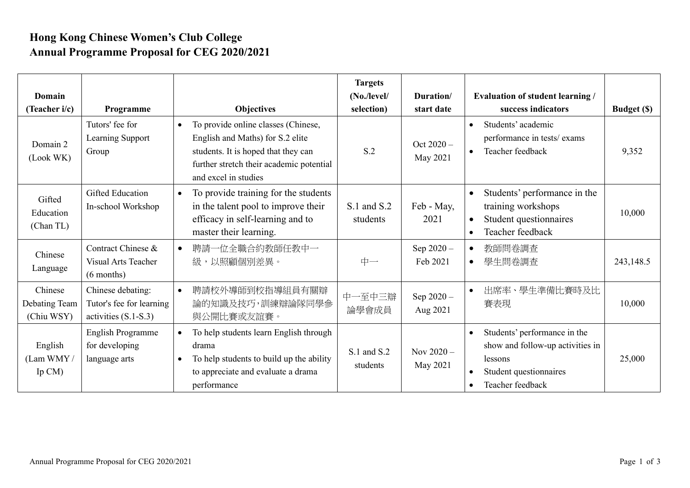## **Hong Kong Chinese Women's Club College Annual Programme Proposal for CEG 2020/2021**

| Domain<br>(Teacher i/c)                | Programme                                                               | <b>Objectives</b>                                                                                                                                                                               | <b>Targets</b><br>(No./level/<br>selection) | Duration/<br>start date  | <b>Evaluation of student learning /</b><br>success indicators                                                                           | <b>Budget (\$)</b> |
|----------------------------------------|-------------------------------------------------------------------------|-------------------------------------------------------------------------------------------------------------------------------------------------------------------------------------------------|---------------------------------------------|--------------------------|-----------------------------------------------------------------------------------------------------------------------------------------|--------------------|
| Domain 2<br>(Look WK)                  | Tutors' fee for<br>Learning Support<br>Group                            | To provide online classes (Chinese,<br>$\bullet$<br>English and Maths) for S.2 elite<br>students. It is hoped that they can<br>further stretch their academic potential<br>and excel in studies | S.2                                         | Oct $2020 -$<br>May 2021 | Students' academic<br>$\bullet$<br>performance in tests/ exams<br>Teacher feedback<br>$\bullet$                                         | 9,352              |
| Gifted<br>Education<br>(Chan TL)       | Gifted Education<br>In-school Workshop                                  | To provide training for the students<br>$\bullet$<br>in the talent pool to improve their<br>efficacy in self-learning and to<br>master their learning.                                          | S.1 and S.2<br>students                     | Feb - May,<br>2021       | Students' performance in the<br>$\bullet$<br>training workshops<br>Student questionnaires<br>$\bullet$<br>Teacher feedback<br>$\bullet$ | 10,000             |
| Chinese<br>Language                    | Contract Chinese &<br><b>Visual Arts Teacher</b><br>$(6$ months)        | 聘請一位全職合約教師任教中一<br>級,以照顧個別差異。                                                                                                                                                                    | 中一                                          | Sep 2020-<br>Feb 2021    | 教師問卷調査<br>學生問卷調查<br>$\bullet$                                                                                                           | 243,148.5          |
| Chinese<br>Debating Team<br>(Chiu WSY) | Chinese debating:<br>Tutor's fee for learning<br>activities $(S.1-S.3)$ | 聘請校外導師到校指導組員有關辯<br>$\bullet$<br>論的知識及技巧,訓練辯論隊同學參<br>與公開比賽或友誼賽。                                                                                                                                  | 中一至中三辯<br>論學會成員                             | Sep 2020-<br>Aug 2021    | 出席率、學生準備比賽時及比<br>賽表現                                                                                                                    | 10,000             |
| English<br>(Lam WMY/<br>Ip $CM$ )      | English Programme<br>for developing<br>language arts                    | To help students learn English through<br>$\bullet$<br>drama<br>To help students to build up the ability<br>$\bullet$<br>to appreciate and evaluate a drama<br>performance                      | S.1 and S.2<br>students                     | Nov $2020 -$<br>May 2021 | Students' performance in the<br>$\bullet$<br>show and follow-up activities in<br>lessons<br>Student questionnaires<br>Teacher feedback  | 25,000             |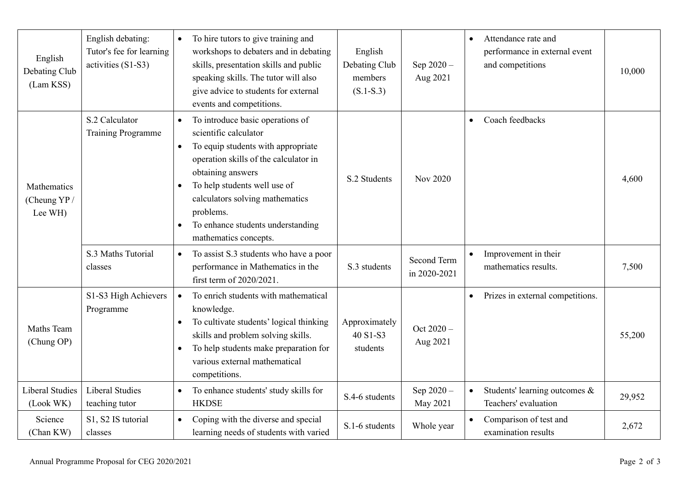| English<br>Debating Club<br>(Lam KSS)  | English debating:<br>Tutor's fee for learning<br>activities (S1-S3) | To hire tutors to give training and<br>$\bullet$<br>workshops to debaters and in debating<br>skills, presentation skills and public<br>speaking skills. The tutor will also<br>give advice to students for external<br>events and competitions.                                                                                                    | English<br>Debating Club<br>members<br>$(S.1-S.3)$ | Sep $2020 -$<br>Aug 2021    | Attendance rate and<br>$\bullet$<br>performance in external event<br>and competitions<br>10,000 |  |
|----------------------------------------|---------------------------------------------------------------------|----------------------------------------------------------------------------------------------------------------------------------------------------------------------------------------------------------------------------------------------------------------------------------------------------------------------------------------------------|----------------------------------------------------|-----------------------------|-------------------------------------------------------------------------------------------------|--|
| Mathematics<br>(Cheung YP /<br>Lee WH) | S.2 Calculator<br><b>Training Programme</b>                         | To introduce basic operations of<br>$\bullet$<br>scientific calculator<br>To equip students with appropriate<br>$\bullet$<br>operation skills of the calculator in<br>obtaining answers<br>To help students well use of<br>$\bullet$<br>calculators solving mathematics<br>problems.<br>To enhance students understanding<br>mathematics concepts. | S.2 Students                                       | Nov 2020                    | Coach feedbacks<br>$\bullet$<br>4,600                                                           |  |
|                                        | S.3 Maths Tutorial<br>classes                                       | To assist S.3 students who have a poor<br>$\bullet$<br>performance in Mathematics in the<br>first term of 2020/2021.                                                                                                                                                                                                                               | S.3 students                                       | Second Term<br>in 2020-2021 | Improvement in their<br>mathematics results.<br>7,500                                           |  |
| Maths Team<br>(Chung OP)               | S1-S3 High Achievers<br>Programme                                   | To enrich students with mathematical<br>$\bullet$<br>knowledge.<br>To cultivate students' logical thinking<br>$\bullet$<br>skills and problem solving skills.<br>To help students make preparation for<br>$\bullet$<br>various external mathematical<br>competitions.                                                                              | Approximately<br>40 S1-S3<br>students              | Oct 2020-<br>Aug 2021       | Prizes in external competitions.<br>$\bullet$<br>55,200                                         |  |
| <b>Liberal Studies</b><br>(Look WK)    | <b>Liberal Studies</b><br>teaching tutor                            | To enhance students' study skills for<br>$\bullet$<br><b>HKDSE</b>                                                                                                                                                                                                                                                                                 | S.4-6 students                                     | Sep 2020-<br>May 2021       | Students' learning outcomes &<br>29,952<br>Teachers' evaluation                                 |  |
| Science<br>(Chan KW)                   | S1, S2 IS tutorial<br>classes                                       | Coping with the diverse and special<br>$\bullet$<br>learning needs of students with varied                                                                                                                                                                                                                                                         | S.1-6 students                                     | Whole year                  | Comparison of test and<br>2,672<br>examination results                                          |  |